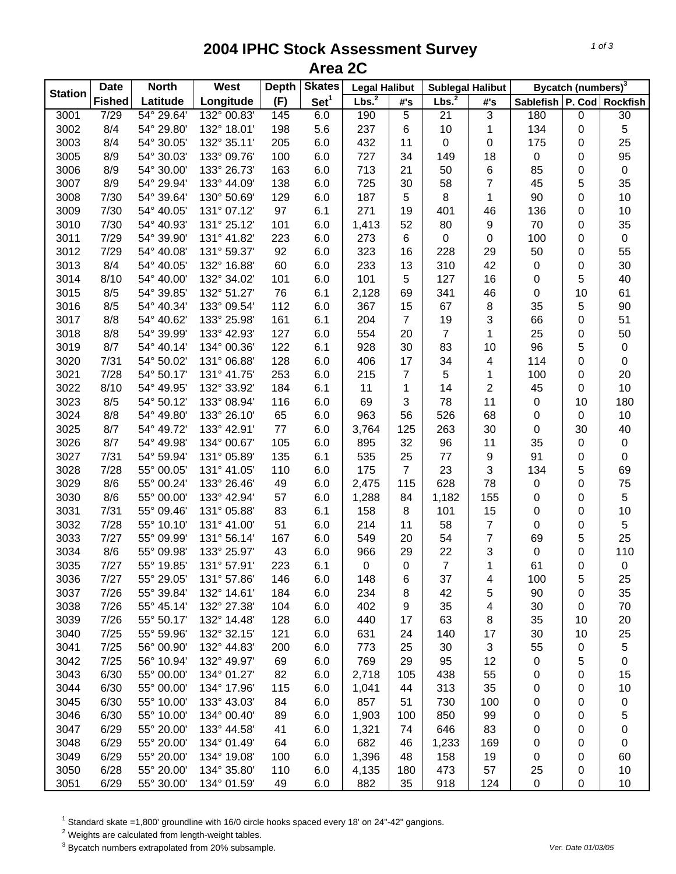## **2004 IPHC Stock Assessment Survey Area 2C**

|                | <b>Date</b>   | <b>North</b> | West        | <b>Skates</b><br><b>Depth</b><br><b>Legal Halibut</b> |                  |                   | <b>Sublegal Halibut</b> |                   | Bycatch (numbers) <sup>3</sup> |                  |    |                  |
|----------------|---------------|--------------|-------------|-------------------------------------------------------|------------------|-------------------|-------------------------|-------------------|--------------------------------|------------------|----|------------------|
| <b>Station</b> | <b>Fished</b> | Latitude     | Longitude   | (F)                                                   | Set <sup>1</sup> | Lbs. <sup>2</sup> | #'s                     | Lbs. <sup>2</sup> | #'s                            | Sablefish P. Cod |    | <b>Rockfish</b>  |
| 3001           | 7/29          | 54° 29.64'   | 132° 00.83' | 145                                                   | 6.0              | 190               | $\overline{5}$          | 21                | 3                              | 180              | 0  | 30               |
| 3002           | 8/4           | 54° 29.80'   | 132° 18.01' | 198                                                   | 5.6              | 237               | 6                       | 10                | 1                              | 134              | 0  | 5                |
| 3003           | 8/4           | 54° 30.05'   | 132° 35.11' | 205                                                   | 6.0              | 432               | 11                      | $\mathbf 0$       | $\pmb{0}$                      | 175              | 0  | 25               |
| 3005           | 8/9           | 54° 30.03'   | 133° 09.76' | 100                                                   | 6.0              | 727               | 34                      | 149               | 18                             | 0                | 0  | 95               |
| 3006           | 8/9           | 54° 30.00'   | 133° 26.73' | 163                                                   | 6.0              | 713               | 21                      | 50                | 6                              | 85               | 0  | $\pmb{0}$        |
| 3007           | 8/9           | 54° 29.94'   | 133° 44.09' | 138                                                   | 6.0              | 725               | 30                      | 58                | $\overline{7}$                 | 45               | 5  | 35               |
| 3008           | 7/30          | 54° 39.64'   | 130° 50.69' | 129                                                   | 6.0              | 187               | 5                       | 8                 | 1                              | 90               | 0  | $10$             |
| 3009           | 7/30          | 54° 40.05'   | 131° 07.12' | 97                                                    | 6.1              | 271               | 19                      | 401               | 46                             | 136              | 0  | 10               |
| 3010           | 7/30          | 54° 40.93'   | 131° 25.12' | 101                                                   | 6.0              | 1,413             | 52                      | 80                | 9                              | 70               | 0  | 35               |
| 3011           | 7/29          | 54° 39.90'   | 131° 41.82' | 223                                                   | 6.0              | 273               | 6                       | 0                 | $\pmb{0}$                      | 100              | 0  | $\pmb{0}$        |
| 3012           | 7/29          | 54° 40.08'   | 131° 59.37' | 92                                                    | 6.0              | 323               | 16                      | 228               | 29                             | 50               | 0  | 55               |
| 3013           | 8/4           | 54° 40.05'   | 132° 16.88' | 60                                                    | 6.0              | 233               | 13                      | 310               | 42                             | 0                | 0  | 30               |
| 3014           | 8/10          | 54° 40.00'   | 132° 34.02' | 101                                                   | 6.0              | 101               | 5                       | 127               | 16                             | 0                | 5  | 40               |
| 3015           | 8/5           | 54° 39.85'   | 132° 51.27' | 76                                                    | 6.1              | 2,128             | 69                      | 341               | 46                             | 0                | 10 | 61               |
| 3016           | 8/5           | 54° 40.34'   | 133° 09.54' | 112                                                   | 6.0              | 367               | 15                      | 67                | 8                              | 35               | 5  | 90               |
| 3017           | 8/8           | 54° 40.62'   | 133° 25.98' | 161                                                   | 6.1              | 204               | $\overline{7}$          | 19                | 3                              | 66               | 0  | 51               |
| 3018           | 8/8           | 54° 39.99'   | 133° 42.93' | 127                                                   | 6.0              | 554               | 20                      | $\overline{7}$    | 1                              | 25               | 0  | 50               |
| 3019           | 8/7           | 54° 40.14'   | 134° 00.36' | 122                                                   | 6.1              | 928               | 30                      | 83                | 10                             | 96               | 5  | $\pmb{0}$        |
| 3020           | 7/31          | 54° 50.02'   | 131° 06.88' | 128                                                   | 6.0              | 406               | 17                      | 34                | 4                              | 114              | 0  | 0                |
| 3021           | 7/28          | 54° 50.17'   | 131° 41.75' | 253                                                   | 6.0              | 215               | $\overline{7}$          | 5                 | 1                              | 100              | 0  | 20               |
| 3022           | 8/10          | 54° 49.95'   | 132° 33.92' | 184                                                   | 6.1              | 11                | 1                       | 14                | $\overline{c}$                 | 45               | 0  | 10               |
| 3023           | 8/5           | 54° 50.12'   | 133° 08.94' | 116                                                   | 6.0              | 69                | 3                       | 78                | 11                             | 0                | 10 | 180              |
| 3024           | 8/8           | 54° 49.80'   | 133° 26.10' | 65                                                    | 6.0              | 963               | 56                      | 526               | 68                             | 0                | 0  | $10$             |
| 3025           | 8/7           | 54° 49.72'   | 133° 42.91' | 77                                                    | 6.0              | 3,764             | 125                     | 263               | 30                             | 0                | 30 | 40               |
| 3026           | 8/7           | 54° 49.98'   | 134° 00.67' | 105                                                   | 6.0              | 895               | 32                      | 96                | 11                             | 35               | 0  | $\pmb{0}$        |
| 3027           | 7/31          | 54° 59.94'   | 131° 05.89' | 135                                                   | 6.1              | 535               | 25                      | 77                | 9                              | 91               | 0  | $\boldsymbol{0}$ |
| 3028           | 7/28          | 55° 00.05'   | 131° 41.05' | 110                                                   | 6.0              | 175               | $\overline{7}$          | 23                | 3                              | 134              | 5  | 69               |
| 3029           | 8/6           | 55° 00.24'   | 133° 26.46' | 49                                                    | 6.0              | 2,475             | 115                     | 628               | 78                             | 0                | 0  | 75               |
| 3030           | 8/6           | 55° 00.00'   | 133° 42.94' | 57                                                    | 6.0              | 1,288             | 84                      | 1,182             | 155                            | 0                | 0  | 5                |
| 3031           | 7/31          | 55° 09.46'   | 131° 05.88' | 83                                                    | 6.1              | 158               | 8                       | 101               | 15                             | 0                | 0  | 10               |
| 3032           | 7/28          | 55° 10.10'   | 131° 41.00' | 51                                                    | 6.0              | 214               | 11                      | 58                | $\overline{7}$                 | 0                | 0  | 5                |
| 3033           | 7/27          | 55° 09.99'   | 131° 56.14' | 167                                                   | 6.0              | 549               | 20                      | 54                | $\overline{7}$                 | 69               | 5  | 25               |
| 3034           | 8/6           | 55° 09.98'   | 133° 25.97' | 43                                                    | 6.0              | 966               | 29                      | 22                | 3                              | 0                | 0  | 110              |
| 3035           | 7/27          | 55° 19.85'   | 131° 57.91' | 223                                                   | 6.1              | $\pmb{0}$         | 0                       | $\overline{7}$    | 1                              | 61               | 0  | $\pmb{0}$        |
| 3036           | 7/27          | 55° 29.05'   | 131° 57.86' | 146                                                   | 6.0              | 148               | 6                       | 37                | 4                              | 100              | 5  | 25               |
| 3037           | 7/26          | 55° 39.84'   | 132° 14.61' | 184                                                   | 6.0              | 234               | 8                       | 42                | 5                              | 90               | 0  | 35               |
| 3038           | 7/26          | 55° 45.14'   | 132° 27.38' | 104                                                   | 6.0              | 402               | 9                       | 35                | 4                              | 30               | 0  | 70               |
| 3039           | 7/26          | 55° 50.17'   | 132° 14.48' | 128                                                   | 6.0              | 440               | 17                      | 63                | 8                              | 35               | 10 | 20               |
| 3040           | 7/25          | 55° 59.96'   | 132° 32.15' | 121                                                   | 6.0              | 631               | 24                      | 140               | 17                             | 30               | 10 | 25               |
| 3041           | 7/25          | 56° 00.90'   | 132° 44.83' | 200                                                   | 6.0              | 773               | 25                      | 30                | 3                              | 55               | 0  | $\mathbf 5$      |
| 3042           | 7/25          | 56° 10.94'   | 132° 49.97' | 69                                                    | 6.0              | 769               | 29                      | 95                | 12                             | 0                | 5  | $\pmb{0}$        |
| 3043           | 6/30          | 55° 00.00'   | 134° 01.27' | 82                                                    | 6.0              | 2,718             | 105                     | 438               | 55                             | 0                | 0  | 15               |
| 3044           | 6/30          | 55° 00.00'   | 134° 17.96' | 115                                                   | 6.0              | 1,041             | 44                      | 313               | 35                             | 0                | 0  | 10               |
| 3045           | 6/30          | 55° 10.00'   | 133° 43.03' | 84                                                    | 6.0              | 857               | 51                      | 730               | 100                            | 0                | 0  | 0                |
| 3046           | 6/30          | 55° 10.00'   | 134° 00.40' | 89                                                    | 6.0              | 1,903             | 100                     | 850               | 99                             | 0                | 0  | 5                |
| 3047           | 6/29          | 55° 20.00'   | 133° 44.58' | 41                                                    | 6.0              | 1,321             | 74                      | 646               | 83                             | 0                | 0  | 0                |
| 3048           | 6/29          | 55° 20.00'   | 134° 01.49' | 64                                                    | 6.0              | 682               | 46                      | 1,233             | 169                            | 0                | 0  | 0                |
| 3049           | 6/29          | 55° 20.00'   | 134° 19.08' | 100                                                   | 6.0              | 1,396             | 48                      | 158               | 19                             | 0                | 0  | 60               |
| 3050           | 6/28          | 55° 20.00'   | 134° 35.80' | 110                                                   | 6.0              | 4,135             | 180                     | 473               | 57                             | 25               | 0  | 10               |
| 3051           | 6/29          | 55° 30.00'   | 134° 01.59' | 49                                                    | 6.0              | 882               | 35                      | 918               | 124                            | $\pmb{0}$        | 0  | 10               |

<sup>1</sup> Standard skate =1,800' groundline with 16/0 circle hooks spaced every 18' on 24"-42" gangions.<br><sup>2</sup> Weights are calculated from length-weight tables.<br><sup>3</sup> Bycatch numbers extrapolated from 20% subsample.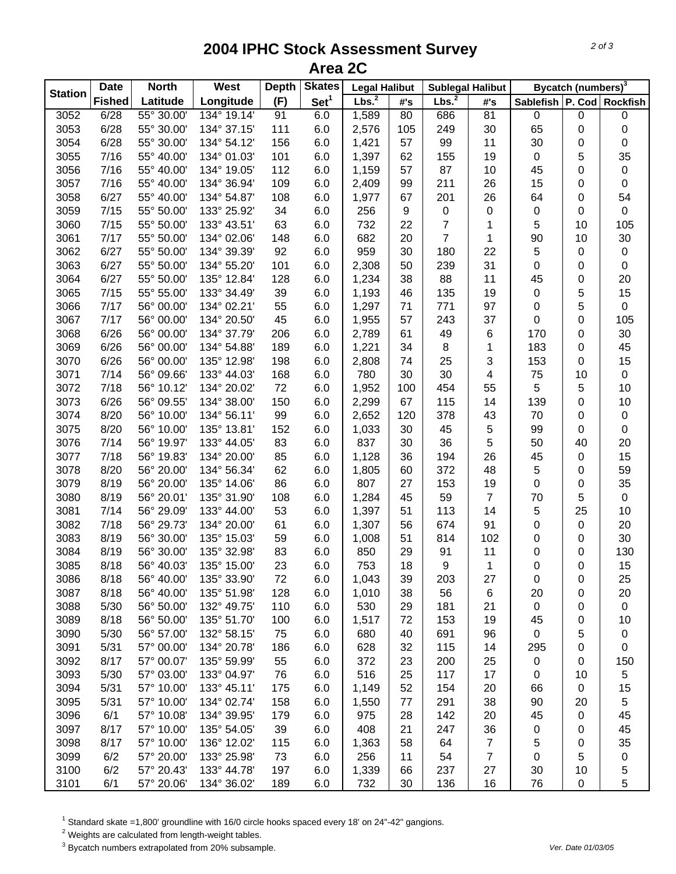## **2004 IPHC Stock Assessment Survey Area 2C**

|                | <b>Date</b>   | <b>North</b> | <b>West</b> | <b>Depth</b> | <b>Skates</b>    | <b>Legal Halibut</b> |     | <b>Sublegal Halibut</b> |                | Bycatch (numbers) <sup>3</sup> |                  |                           |
|----------------|---------------|--------------|-------------|--------------|------------------|----------------------|-----|-------------------------|----------------|--------------------------------|------------------|---------------------------|
| <b>Station</b> | <b>Fished</b> | Latitude     | Longitude   | (F)          | Set <sup>1</sup> | Lbs. <sup>2</sup>    | #'s | Lbs. <sup>2</sup>       | #'s            |                                |                  | Sablefish P. Cod Rockfish |
| 3052           | 6/28          | 55° 30.00'   | 134° 19.14' | 91           | 6.0              | 1,589                | 80  | 686                     | 81             | $\pmb{0}$                      | $\pmb{0}$        | 0                         |
| 3053           | 6/28          | 55° 30.00'   | 134° 37.15' | 111          | 6.0              | 2,576                | 105 | 249                     | 30             | 65                             | $\mathbf 0$      | 0                         |
| 3054           | 6/28          | 55° 30.00'   | 134° 54.12' | 156          | 6.0              | 1,421                | 57  | 99                      | 11             | 30                             | 0                | $\pmb{0}$                 |
| 3055           | 7/16          | 55° 40.00'   | 134° 01.03' | 101          | 6.0              | 1,397                | 62  | 155                     | 19             | $\mathsf 0$                    | 5                | 35                        |
| 3056           | 7/16          | 55° 40.00'   | 134° 19.05' | 112          | 6.0              | 1,159                | 57  | 87                      | 10             | 45                             | 0                | $\pmb{0}$                 |
| 3057           | 7/16          | 55° 40.00'   | 134° 36.94' | 109          | 6.0              | 2,409                | 99  | 211                     | 26             | 15                             | $\mathbf 0$      | $\pmb{0}$                 |
| 3058           | 6/27          | 55° 40.00'   | 134° 54.87' | 108          | 6.0              | 1,977                | 67  | 201                     | 26             | 64                             | 0                | 54                        |
| 3059           | 7/15          | 55° 50.00'   | 133° 25.92' | 34           | 6.0              | 256                  | 9   | 0                       | 0              | $\pmb{0}$                      | 0                | $\pmb{0}$                 |
| 3060           | 7/15          | 55° 50.00'   | 133° 43.51' | 63           | 6.0              | 732                  | 22  | $\overline{7}$          | 1              | 5                              | 10               | 105                       |
| 3061           | 7/17          | 55° 50.00'   | 134° 02.06' | 148          | 6.0              | 682                  | 20  | $\overline{7}$          | 1              | 90                             | 10               | 30                        |
| 3062           | 6/27          | 55° 50.00'   | 134° 39.39' | 92           | 6.0              | 959                  | 30  | 180                     | 22             | 5                              | 0                | $\pmb{0}$                 |
| 3063           | 6/27          | 55° 50.00'   | 134° 55.20' | 101          | 6.0              | 2,308                | 50  | 239                     | 31             | 0                              | 0                | $\pmb{0}$                 |
| 3064           | 6/27          | 55° 50.00'   | 135° 12.84' | 128          | 6.0              | 1,234                | 38  | 88                      | 11             | 45                             | 0                | 20                        |
| 3065           | 7/15          | 55° 55.00'   | 133° 34.49' | 39           | 6.0              | 1,193                | 46  | 135                     | 19             | $\pmb{0}$                      | 5                | 15                        |
| 3066           | 7/17          | 56° 00.00'   | 134° 02.21' | 55           | 6.0              | 1,297                | 71  | 771                     | 97             | 0                              | 5                | $\boldsymbol{0}$          |
| 3067           | 7/17          | 56° 00.00'   | 134° 20.50' | 45           | 6.0              | 1,955                | 57  | 243                     | 37             | 0                              | 0                | 105                       |
| 3068           | 6/26          | 56° 00.00'   | 134° 37.79' | 206          | 6.0              | 2,789                | 61  | 49                      | $\,6$          | 170                            | 0                | 30                        |
| 3069           | 6/26          | 56° 00.00'   | 134° 54.88' | 189          | 6.0              | 1,221                | 34  | $\, 8$                  | 1              | 183                            | 0                | 45                        |
| 3070           | 6/26          | 56° 00.00'   | 135° 12.98' | 198          | 6.0              | 2,808                | 74  | 25                      | 3              | 153                            | 0                | 15                        |
| 3071           | 7/14          | 56° 09.66'   | 133° 44.03' | 168          | 6.0              | 780                  | 30  | 30                      | 4              | 75                             | 10               | $\mathbf 0$               |
| 3072           | 7/18          | 56° 10.12'   | 134° 20.02' | 72           | 6.0              | 1,952                | 100 | 454                     | 55             | 5                              | 5                | $10$                      |
| 3073           | 6/26          | 56° 09.55'   | 134° 38.00' | 150          | 6.0              | 2,299                | 67  | 115                     | 14             | 139                            | $\boldsymbol{0}$ | $10$                      |
| 3074           | 8/20          | 56° 10.00'   | 134° 56.11' | 99           | 6.0              | 2,652                | 120 | 378                     | 43             | 70                             | $\mathbf 0$      | $\pmb{0}$                 |
| 3075           | 8/20          | 56° 10.00'   | 135° 13.81' | 152          | 6.0              | 1,033                | 30  | 45                      | 5              | 99                             | $\mathbf 0$      | $\pmb{0}$                 |
| 3076           | 7/14          | 56° 19.97'   | 133° 44.05' | 83           | 6.0              | 837                  | 30  | 36                      | 5              | 50                             | 40               | 20                        |
| 3077           | 7/18          | 56° 19.83'   | 134° 20.00' | 85           | 6.0              | 1,128                | 36  | 194                     | 26             | 45                             | 0                | 15                        |
| 3078           | 8/20          | 56° 20.00'   | 134° 56.34' | 62           | 6.0              | 1,805                | 60  | 372                     | 48             | 5                              | 0                | 59                        |
| 3079           | 8/19          | 56° 20.00'   | 135° 14.06' | 86           | 6.0              | 807                  | 27  | 153                     | 19             | 0                              | 0                | 35                        |
| 3080           | 8/19          | 56° 20.01'   | 135° 31.90' | 108          | 6.0              | 1,284                | 45  | 59                      | 7              | 70                             | 5                | $\boldsymbol{0}$          |
| 3081           | 7/14          | 56° 29.09'   | 133° 44.00' | 53           | 6.0              | 1,397                | 51  | 113                     | 14             | 5                              | 25               | 10                        |
| 3082           | 7/18          | 56° 29.73'   | 134° 20.00' | 61           | 6.0              | 1,307                | 56  | 674                     | 91             | 0                              | $\pmb{0}$        | 20                        |
| 3083           | 8/19          | 56° 30.00'   | 135° 15.03' | 59           | 6.0              | 1,008                | 51  | 814                     | 102            | 0                              | 0                | 30                        |
| 3084           | 8/19          | 56° 30.00'   | 135° 32.98' | 83           | 6.0              | 850                  | 29  | 91                      | 11             | 0                              | 0                | 130                       |
| 3085           | 8/18          | 56° 40.03'   | 135° 15.00' | 23           | 6.0              | 753                  | 18  | 9                       | 1              | 0                              | 0                | 15                        |
| 3086           | 8/18          | 56° 40.00    | 135° 33.90' | 72           | 6.0              | 1,043                | 39  | 203                     | 27             | 0                              | 0                | 25                        |
| 3087           | 8/18          | 56° 40.00'   | 135° 51.98' | 128          | 6.0              | 1,010                | 38  | 56                      | 6              | 20                             | 0                | 20                        |
| 3088           | 5/30          | 56° 50.00'   | 132° 49.75' | 110          | 6.0              | 530                  | 29  | 181                     | 21             | $\mathbf 0$                    | 0                | $\boldsymbol{0}$          |
| 3089           | 8/18          | 56° 50.00'   | 135° 51.70' | 100          | 6.0              | 1,517                | 72  | 153                     | 19             | 45                             | 0                | 10                        |
| 3090           | 5/30          | 56° 57.00'   | 132° 58.15' | 75           | 6.0              | 680                  | 40  | 691                     | 96             | $\mathbf 0$                    | 5                | 0                         |
| 3091           | 5/31          | 57° 00.00'   | 134° 20.78' | 186          | 6.0              | 628                  | 32  | 115                     | 14             | 295                            | 0                | 0                         |
| 3092           | 8/17          | 57° 00.07'   | 135° 59.99' | 55           | 6.0              | 372                  | 23  | 200                     | 25             | 0                              | 0                | 150                       |
| 3093           | 5/30          | 57° 03.00'   | 133° 04.97' | 76           | 6.0              | 516                  | 25  | 117                     | 17             | 0                              | 10               | 5                         |
| 3094           | 5/31          | 57° 10.00'   | 133° 45.11' | 175          | 6.0              | 1,149                | 52  | 154                     | 20             | 66                             | 0                | 15                        |
| 3095           | 5/31          | 57° 10.00'   | 134° 02.74' | 158          | 6.0              | 1,550                | 77  | 291                     | 38             | 90                             | 20               | 5                         |
| 3096           | 6/1           | 57° 10.08'   | 134° 39.95' | 179          | 6.0              | 975                  | 28  | 142                     | 20             | 45                             | 0                | 45                        |
| 3097           | 8/17          | 57° 10.00'   | 135° 54.05' | 39           | 6.0              | 408                  | 21  | 247                     | 36             | 0                              | 0                | 45                        |
| 3098           | 8/17          | 57° 10.00'   | 136° 12.02' | 115          | 6.0              | 1,363                | 58  | 64                      | $\overline{7}$ | 5                              | 0                | 35                        |
| 3099           | 6/2           | 57° 20.00'   | 133° 25.98' | 73           | 6.0              | 256                  | 11  | 54                      | 7              | 0                              | 5                | $\pmb{0}$                 |
| 3100           | 6/2           | 57° 20.43'   | 133° 44.78' | 197          | 6.0              | 1,339                | 66  | 237                     | 27             | 30                             | 10               | 5                         |
| 3101           | 6/1           | 57° 20.06'   | 134° 36.02' | 189          | 6.0              | 732                  | 30  | 136                     | 16             | 76                             | $\pmb{0}$        | 5                         |

 $^1$  Standard skate =1,800' groundline with 16/0 circle hooks spaced every 18' on 24"-42" gangions.<br><sup>2</sup> Weights are calculated from length-weight tables.

3 Bycatch numbers extrapolated from 20% subsample. *Ver. Date 01/03/05*